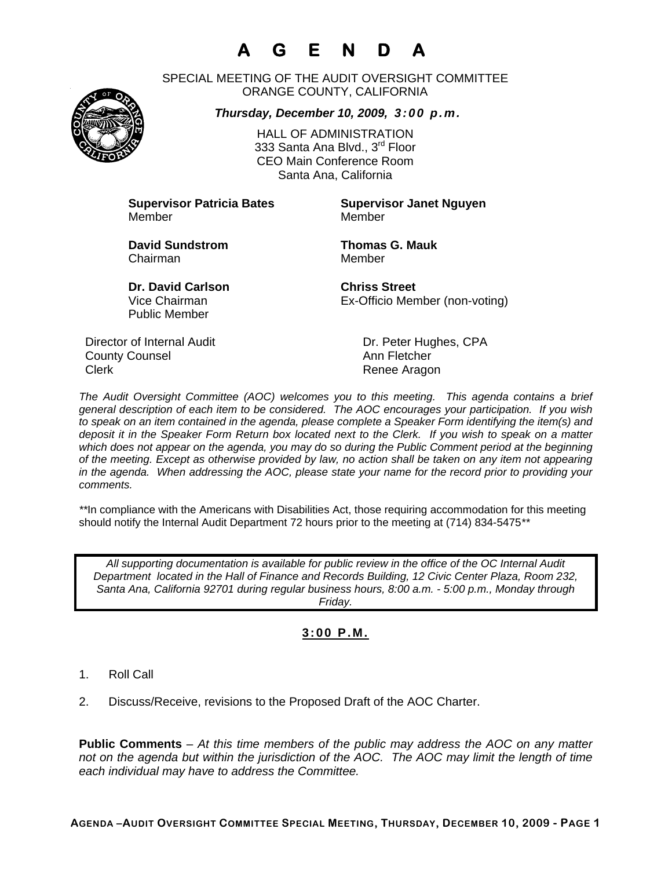# **A G E N D A**

SPECIAL MEETING OF THE AUDIT OVERSIGHT COMMITTEE ORANGE COUNTY, CALIFORNIA

*Thursday, December 10, 2009, 3:00 p.m.*

HALL OF ADMINISTRATION 333 Santa Ana Blyd., 3<sup>rd</sup> Floor CEO Main Conference Room Santa Ana, California

**Supervisor Patricia Bates Supervisor Janet Nguyen** Member Member

**David Sundstrom Thomas G. Mauk**  Chairman Member

Public Member

**Dr. David Carlson Chriss Street** Vice Chairman Ex-Officio Member (non-voting)

Director of Internal Audit Dr. Peter Hughes, CPA **County Counsel Countillist County Counsel Ann Fletcher** Clerk **Clerk** Renee Aragon

*The Audit Oversight Committee (AOC) welcomes you to this meeting. This agenda contains a brief general description of each item to be considered. The AOC encourages your participation. If you wish to speak on an item contained in the agenda, please complete a Speaker Form identifying the item(s) and deposit it in the Speaker Form Return box located next to the Clerk. If you wish to speak on a matter which does not appear on the agenda, you may do so during the Public Comment period at the beginning of the meeting. Except as otherwise provided by law, no action shall be taken on any item not appearing in the agenda. When addressing the AOC, please state your name for the record prior to providing your comments.* 

*\*\**In compliance with the Americans with Disabilities Act, those requiring accommodation for this meeting should notify the Internal Audit Department 72 hours prior to the meeting at (714) 834-5475*\*\** 

*All supporting documentation is available for public review in the office of the OC Internal Audit Department located in the Hall of Finance and Records Building, 12 Civic Center Plaza, Room 232, Santa Ana, California 92701 during regular business hours, 8:00 a.m. - 5:00 p.m., Monday through Friday.* 

### **3:00 P.M.**

- 1. Roll Call
- 2. Discuss/Receive, revisions to the Proposed Draft of the AOC Charter.

**Public Comments** – *At this time members of the public may address the AOC on any matter not on the agenda but within the jurisdiction of the AOC. The AOC may limit the length of time each individual may have to address the Committee.*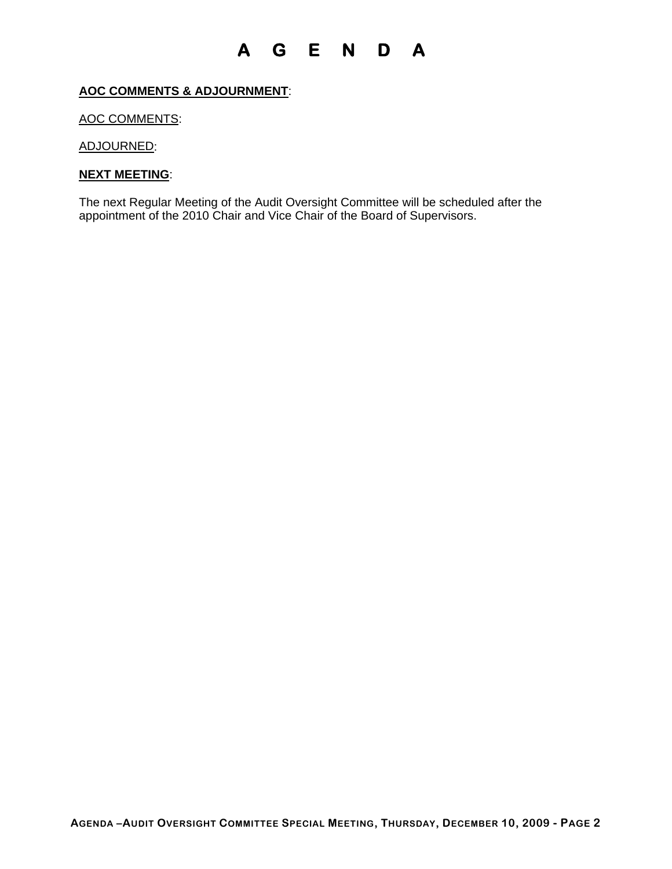### **A G E N D A**

#### **AOC COMMENTS & ADJOURNMENT**:

#### AOC COMMENTS:

ADJOURNED:

#### **NEXT MEETING**:

The next Regular Meeting of the Audit Oversight Committee will be scheduled after the appointment of the 2010 Chair and Vice Chair of the Board of Supervisors.